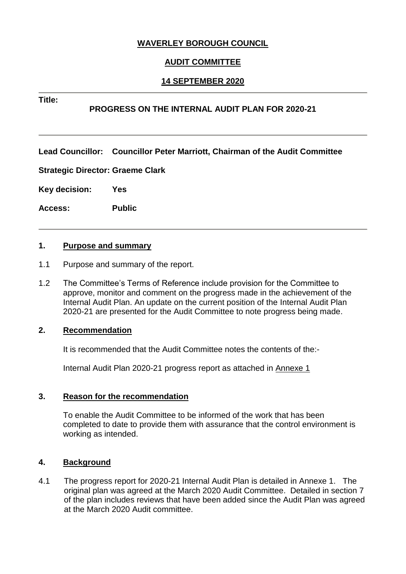# **WAVERLEY BOROUGH COUNCIL**

# **AUDIT COMMITTEE**

## **14 SEPTEMBER 2020**

#### **Title:**

# **PROGRESS ON THE INTERNAL AUDIT PLAN FOR 2020-21**

**Lead Councillor: Councillor Peter Marriott, Chairman of the Audit Committee** 

**Strategic Director: Graeme Clark**

**Key decision: Yes**

**Access: Public**

#### **1. Purpose and summary**

- 1.1 Purpose and summary of the report.
- 1.2 The Committee's Terms of Reference include provision for the Committee to approve, monitor and comment on the progress made in the achievement of the Internal Audit Plan. An update on the current position of the Internal Audit Plan 2020-21 are presented for the Audit Committee to note progress being made.

#### **2. Recommendation**

It is recommended that the Audit Committee notes the contents of the:-

Internal Audit Plan 2020-21 progress report as attached in Annexe 1

#### **3. Reason for the recommendation**

To enable the Audit Committee to be informed of the work that has been completed to date to provide them with assurance that the control environment is working as intended.

#### **4. Background**

4.1 The progress report for 2020-21 Internal Audit Plan is detailed in Annexe 1. The original plan was agreed at the March 2020 Audit Committee. Detailed in section 7 of the plan includes reviews that have been added since the Audit Plan was agreed at the March 2020 Audit committee.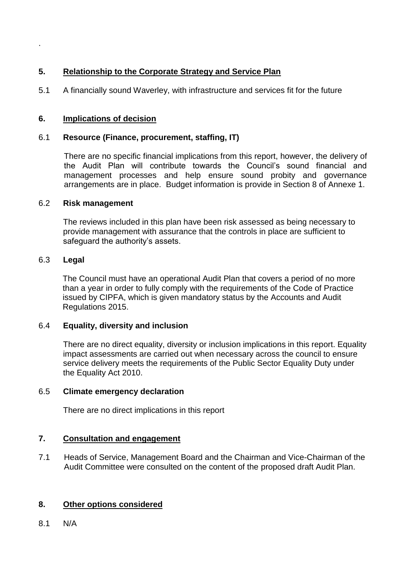# **5. Relationship to the Corporate Strategy and Service Plan**

5.1 A financially sound Waverley, with infrastructure and services fit for the future

# **6. Implications of decision**

## 6.1 **Resource (Finance, procurement, staffing, IT)**

There are no specific financial implications from this report, however, the delivery of the Audit Plan will contribute towards the Council's sound financial and management processes and help ensure sound probity and governance arrangements are in place. Budget information is provide in Section 8 of Annexe 1.

### 6.2 **Risk management**

The reviews included in this plan have been risk assessed as being necessary to provide management with assurance that the controls in place are sufficient to safeguard the authority's assets.

### 6.3 **Legal**

.

The Council must have an operational Audit Plan that covers a period of no more than a year in order to fully comply with the requirements of the Code of Practice issued by CIPFA, which is given mandatory status by the Accounts and Audit Regulations 2015.

## 6.4 **Equality, diversity and inclusion**

There are no direct equality, diversity or inclusion implications in this report. Equality impact assessments are carried out when necessary across the council to ensure service delivery meets the requirements of the Public Sector Equality Duty under the Equality Act 2010.

## 6.5 **Climate emergency declaration**

There are no direct implications in this report

## **7. Consultation and engagement**

7.1 Heads of Service, Management Board and the Chairman and Vice-Chairman of the Audit Committee were consulted on the content of the proposed draft Audit Plan.

## **8. Other options considered**

8.1 N/A